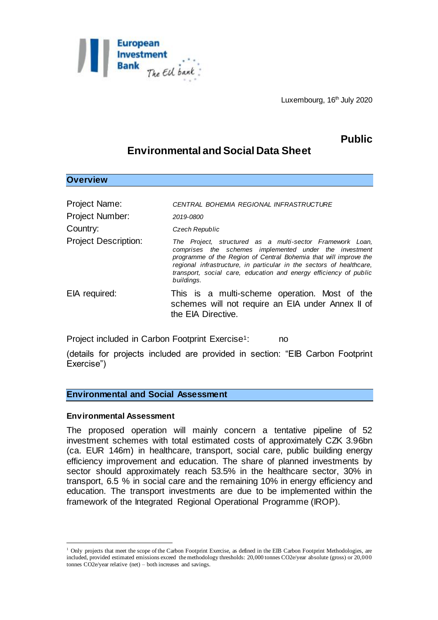

Luxembourg, 16<sup>th</sup> July 2020

# **Public**

## **Environmental and Social Data Sheet**

### **Overview**

| Project Name:               | CENTRAL BOHEMIA REGIONAL INFRASTRUCTURE                                                                                                                                                                                                                                                                                                            |
|-----------------------------|----------------------------------------------------------------------------------------------------------------------------------------------------------------------------------------------------------------------------------------------------------------------------------------------------------------------------------------------------|
| <b>Project Number:</b>      | 2019-0800                                                                                                                                                                                                                                                                                                                                          |
| Country:                    | Czech Republic                                                                                                                                                                                                                                                                                                                                     |
| <b>Project Description:</b> | The Project, structured as a multi-sector Framework Loan,<br>comprises the schemes implemented under the investment<br>programme of the Region of Central Bohemia that will improve the<br>regional infrastructure, in particular in the sectors of healthcare,<br>transport, social care, education and energy efficiency of public<br>buildings. |
| EIA required:               | This is a multi-scheme operation. Most of the<br>schemes will not require an EIA under Annex II of<br>the EIA Directive.                                                                                                                                                                                                                           |

Project included in Carbon Footprint Exercise<sup>1</sup>: no

(details for projects included are provided in section: "EIB Carbon Footprint Exercise")

### **Environmental and Social Assessment**

### **Environmental Assessment**

l

The proposed operation will mainly concern a tentative pipeline of 52 investment schemes with total estimated costs of approximately CZK 3.96bn (ca. EUR 146m) in healthcare, transport, social care, public building energy efficiency improvement and education. The share of planned investments by sector should approximately reach 53.5% in the healthcare sector, 30% in transport, 6.5 % in social care and the remaining 10% in energy efficiency and education. The transport investments are due to be implemented within the framework of the Integrated Regional Operational Programme (IROP).

<sup>&</sup>lt;sup>1</sup> Only projects that meet the scope of the Carbon Footprint Exercise, as defined in the EIB Carbon Footprint Methodologies, are included, provided estimated emissions exceed the methodology thresholds: 20,000 tonnes CO2e/year absolute (gross) or 20,000 tonnes CO2e/year relative (net) – both increases and savings.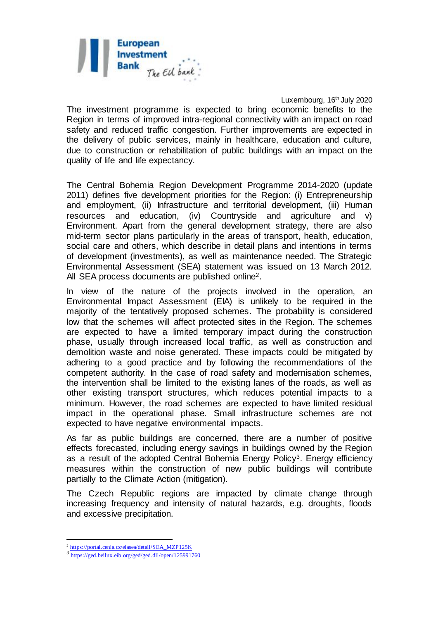

Luxembourg, 16<sup>th</sup> July 2020

The investment programme is expected to bring economic benefits to the Region in terms of improved intra-regional connectivity with an impact on road safety and reduced traffic congestion. Further improvements are expected in the delivery of public services, mainly in healthcare, education and culture, due to construction or rehabilitation of public buildings with an impact on the quality of life and life expectancy.

The Central Bohemia Region Development Programme 2014-2020 (update 2011) defines five development priorities for the Region: (i) Entrepreneurship and employment, (ii) Infrastructure and territorial development, (iii) Human resources and education, (iv) Countryside and agriculture and v) Environment. Apart from the general development strategy, there are also mid-term sector plans particularly in the areas of transport, health, education, social care and others, which describe in detail plans and intentions in terms of development (investments), as well as maintenance needed. The Strategic Environmental Assessment (SEA) statement was issued on 13 March 2012. All SEA process documents are published online2.

In view of the nature of the projects involved in the operation, an Environmental Impact Assessment (EIA) is unlikely to be required in the majority of the tentatively proposed schemes. The probability is considered low that the schemes will affect protected sites in the Region. The schemes are expected to have a limited temporary impact during the construction phase, usually through increased local traffic, as well as construction and demolition waste and noise generated. These impacts could be mitigated by adhering to a good practice and by following the recommendations of the competent authority. In the case of road safety and modernisation schemes, the intervention shall be limited to the existing lanes of the roads, as well as other existing transport structures, which reduces potential impacts to a minimum. However, the road schemes are expected to have limited residual impact in the operational phase. Small infrastructure schemes are not expected to have negative environmental impacts.

As far as public buildings are concerned, there are a number of positive effects forecasted, including energy savings in buildings owned by the Region as a result of the adopted Central Bohemia Energy Policy<sup>3</sup>. Energy efficiency measures within the construction of new public buildings will contribute partially to the Climate Action (mitigation).

The Czech Republic regions are impacted by climate change through increasing frequency and intensity of natural hazards, e.g. droughts, floods and excessive precipitation.

<sup>&</sup>lt;sup>2</sup> https://portal.cenia.cz/eiasea/detail/SEA\_MZP125K

<sup>3</sup> <https://ged.beilux.eib.org/ged/ged.dll/open/125991760>